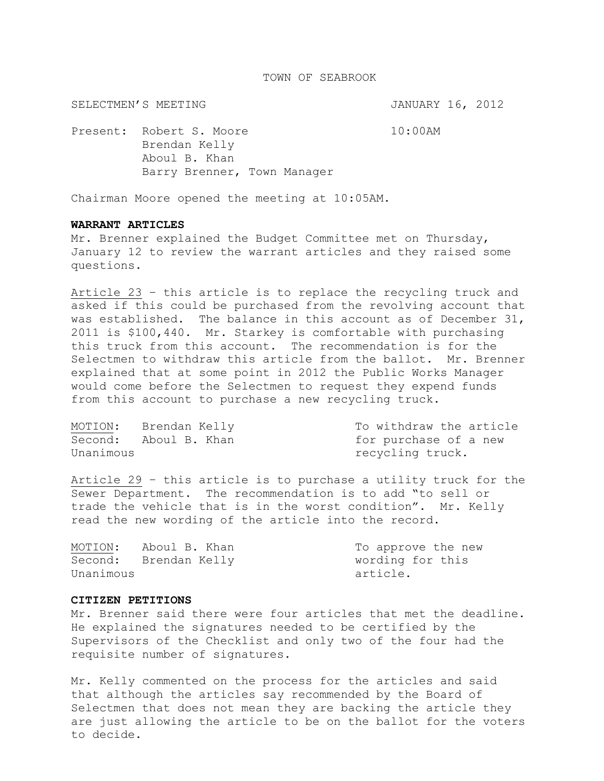SELECTMEN'S MEETING **SELECTMEN'S** SELECTMEN'S

Present: Robert S. Moore 10:00AM Brendan Kelly Aboul B. Khan Barry Brenner, Town Manager

Chairman Moore opened the meeting at 10:05AM.

## **WARRANT ARTICLES**

Mr. Brenner explained the Budget Committee met on Thursday, January 12 to review the warrant articles and they raised some questions.

Article 23 – this article is to replace the recycling truck and asked if this could be purchased from the revolving account that was established. The balance in this account as of December 31, 2011 is \$100,440. Mr. Starkey is comfortable with purchasing this truck from this account. The recommendation is for the Selectmen to withdraw this article from the ballot. Mr. Brenner explained that at some point in 2012 the Public Works Manager would come before the Selectmen to request they expend funds from this account to purchase a new recycling truck.

| MOTION:   | Brendan Kelly         | To withdraw the article |
|-----------|-----------------------|-------------------------|
|           | Second: Aboul B. Khan | for purchase of a new   |
| Unanimous |                       | recycling truck.        |

Article 29 – this article is to purchase a utility truck for the Sewer Department. The recommendation is to add "to sell or trade the vehicle that is in the worst condition". Mr. Kelly read the new wording of the article into the record.

| MOTION:   | Aboul B. Khan         | To approve the new |
|-----------|-----------------------|--------------------|
|           | Second: Brendan Kelly | wording for this   |
| Unanimous |                       | article.           |

## **CITIZEN PETITIONS**

Mr. Brenner said there were four articles that met the deadline. He explained the signatures needed to be certified by the Supervisors of the Checklist and only two of the four had the requisite number of signatures.

Mr. Kelly commented on the process for the articles and said that although the articles say recommended by the Board of Selectmen that does not mean they are backing the article they are just allowing the article to be on the ballot for the voters to decide.